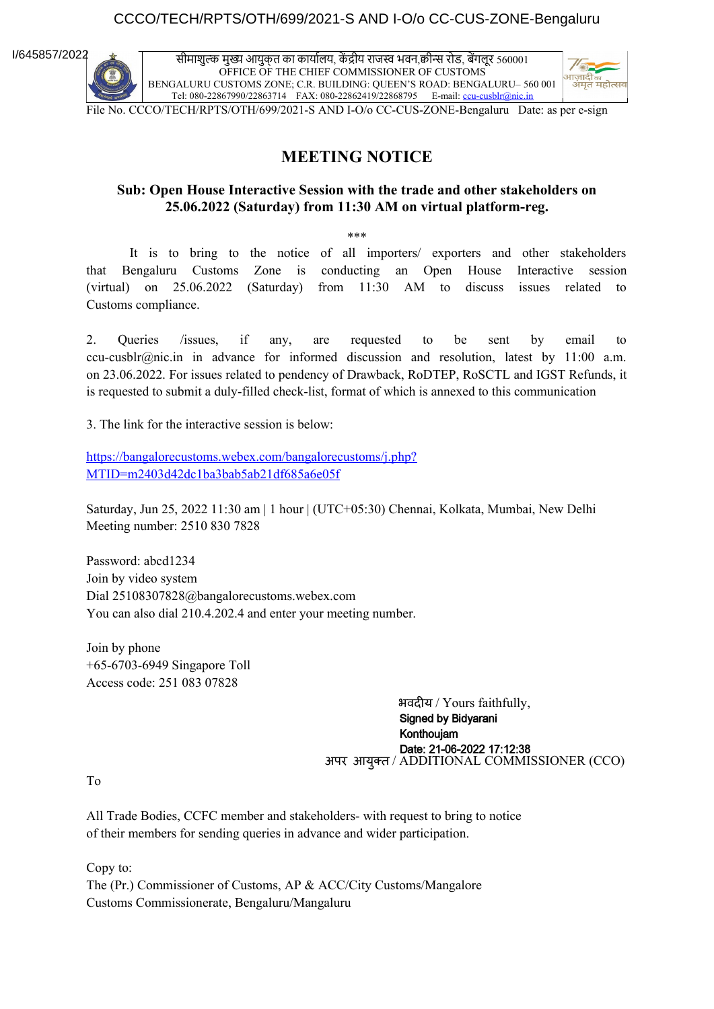### CCCO/TECH/RPTS/OTH/699/2021-S AND I-O/o CC-CUS-ZONE-Bengaluru

I/645857/2022

सीमाशुल्क मुख्य आयुक्त का कार्यालय, कें द्रीय राजस्व भवन,क्वीन्स रोड, बेंगलूर 560001 OFFICE OF THE CHIEF COMMISSIONER OF CUSTOMS BENGALURU CUSTOMS ZONE; C.R. BUILDING: QUEEN'S ROAD: BENGALURU– 560 001 Tel: 080-22867990/22863714 FAX: 080-22862419/22868795 E-mail: [ccu-cusblr@nic.in](mailto:ccu-cusblr@nic.in)



File No. CCCO/TECH/RPTS/OTH/699/2021-S AND I-O/o CC-CUS-ZONE-Bengaluru Date: as per e-sign

### **MEETING NOTICE**

### **Sub: Open House Interactive Session with the trade and other stakeholders on 25.06.2022 (Saturday) from 11:30 AM on virtual platform-reg.**

\*\*\*

It is to bring to the notice of all importers/ exporters and other stakeholders that Bengaluru Customs Zone is conducting an Open House Interactive session (virtual) on 25.06.2022 (Saturday) from 11:30 AM to discuss issues related to Customs compliance.

2. Queries /issues, if any, are requested to be sent by email to ccu-cusblr@nic.in in advance for informed discussion and resolution, latest by 11:00 a.m. on 23.06.2022. For issues related to pendency of Drawback, RoDTEP, RoSCTL and IGST Refunds, it is requested to submit a duly-filled check-list, format of which is annexed to this communication

3. The link for the interactive session is below:

[https://bangalorecustoms.webex.com/bangalorecustoms/j.php?](https://bangalorecustoms.webex.com/bangalorecustoms/j.php?MTID=m2403d42dc1ba3bab5ab21df685a6e05f) [MTID=m2403d42dc1ba3bab5ab21df685a6e05f](https://bangalorecustoms.webex.com/bangalorecustoms/j.php?MTID=m2403d42dc1ba3bab5ab21df685a6e05f)

Saturday, Jun 25, 2022 11:30 am | 1 hour | (UTC+05:30) Chennai, Kolkata, Mumbai, New Delhi Meeting number: 2510 830 7828

Password: abcd1234 Join by video system Dial 25108307828@bangalorecustoms.webex.com You can also dial 210.4.202.4 and enter your meeting number.

Join by phone +65-6703-6949 Singapore Toll Access code: 251 083 07828

> भवदीय / Yours faithfully, Signed by Bidyarani Konthoujam **Date: 21-06-2022 17:12:38**<br>अपर आयुक्त / ADDITIONAL COMMISSIONER (CCO)

To

All Trade Bodies, CCFC member and stakeholders- with request to bring to notice of their members for sending queries in advance and wider participation.

Copy to: The (Pr.) Commissioner of Customs, AP & ACC/City Customs/Mangalore Customs Commissionerate, Bengaluru/Mangaluru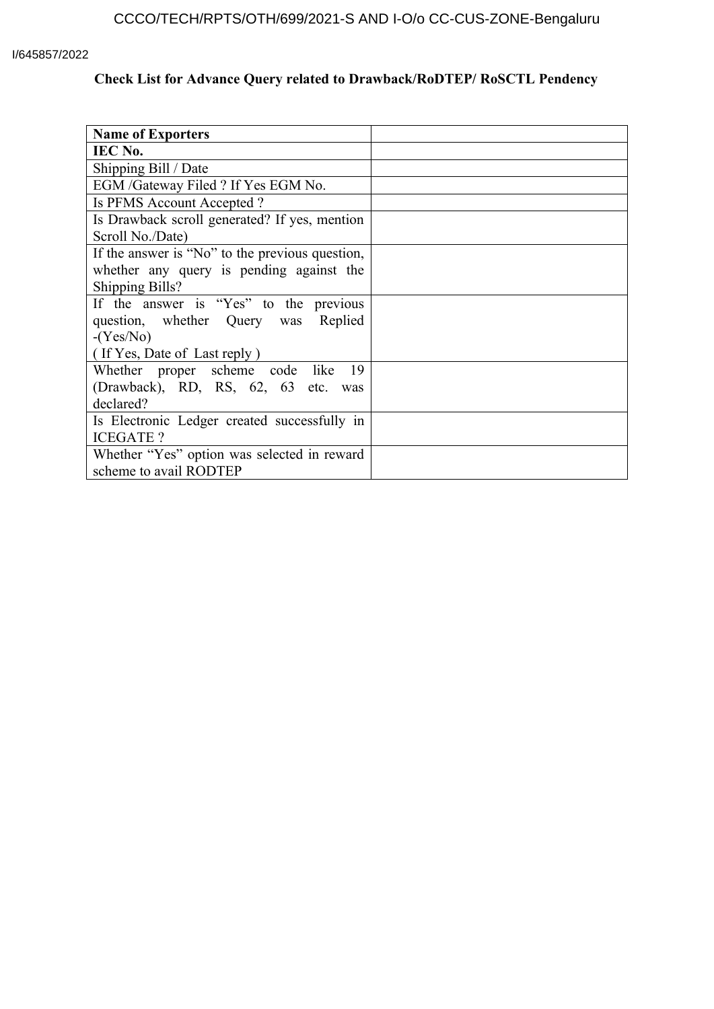#### I/645857/2022

# **Check List for Advance Query related to Drawback/RoDTEP/ RoSCTL Pendency**

| <b>Name of Exporters</b>                        |  |
|-------------------------------------------------|--|
| IEC No.                                         |  |
| Shipping Bill / Date                            |  |
| EGM /Gateway Filed ? If Yes EGM No.             |  |
| Is PFMS Account Accepted?                       |  |
| Is Drawback scroll generated? If yes, mention   |  |
| Scroll No./Date)                                |  |
| If the answer is "No" to the previous question, |  |
| whether any query is pending against the        |  |
| <b>Shipping Bills?</b>                          |  |
| If the answer is "Yes" to the previous          |  |
| question, whether Query was Replied             |  |
| $-(Yes/No)$                                     |  |
| (If Yes, Date of Last reply)                    |  |
| Whether proper scheme code like<br>19           |  |
| (Drawback), RD, RS, 62, 63 etc. was             |  |
| declared?                                       |  |
| Is Electronic Ledger created successfully in    |  |
| <b>ICEGATE?</b>                                 |  |
| Whether "Yes" option was selected in reward     |  |
| scheme to avail RODTEP                          |  |